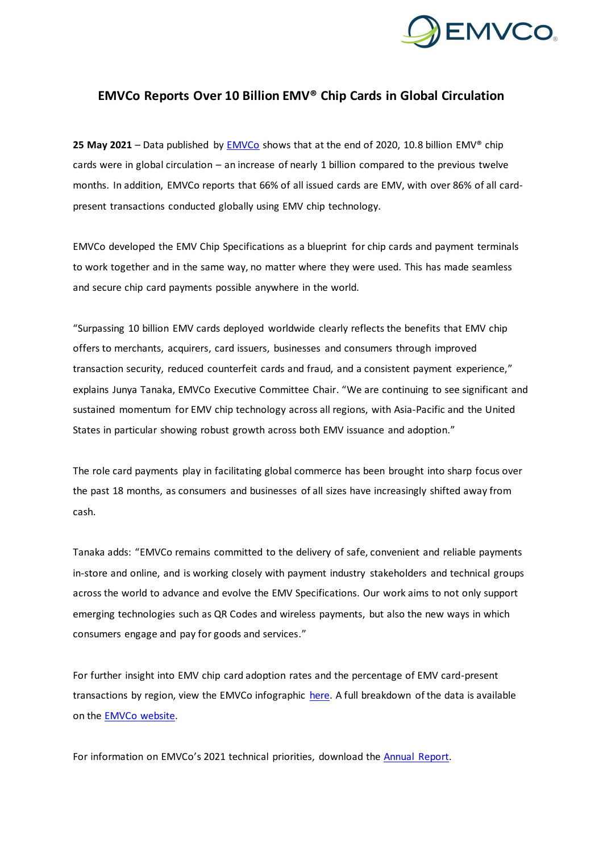

# **EMVCo Reports Over 10 Billion EMV® Chip Cards in Global Circulation**

**25 May 2021** – Data published by [EMVCo](https://www.emvco.com/) shows that at the end of 2020, 10.8 billion EMV® chip cards were in global circulation – an increase of nearly 1 billion compared to the previous twelve months. In addition, EMVCo reports that 66% of all issued cards are EMV, with over 86% of all cardpresent transactions conducted globally using EMV chip technology.

EMVCo developed the EMV Chip Specifications as a blueprint for chip cards and payment terminals to work together and in the same way, no matter where they were used. This has made seamless and secure chip card payments possible anywhere in the world.

"Surpassing 10 billion EMV cards deployed worldwide clearly reflects the benefits that EMV chip offers to merchants, acquirers, card issuers, businesses and consumers through improved transaction security, reduced counterfeit cards and fraud, and a consistent payment experience," explains Junya Tanaka, EMVCo Executive Committee Chair. "We are continuing to see significant and sustained momentum for EMV chip technology across all regions, with Asia-Pacific and the United States in particular showing robust growth across both EMV issuance and adoption."

The role card payments play in facilitating global commerce has been brought into sharp focus over the past 18 months, as consumers and businesses of all sizes have increasingly shifted away from cash.

Tanaka adds: "EMVCo remains committed to the delivery of safe, convenient and reliable payments in-store and online, and is working closely with payment industry stakeholders and technical groups across the world to advance and evolve the EMV Specifications. Our work aims to not only support emerging technologies such as QR Codes and wireless payments, but also the new ways in which consumers engage and pay for goods and services."

For further insight into EMV chip card adoption rates and the percentage of EMV card-present transactions by region, view the EMVCo infographic [here.](https://www.emvco.com/media-centre/about-emvco-press-kit/) A full breakdown of the data is available on the [EMVCo website.](https://www.emvco.com/about/deployment-statistics/)

For information on EMVCo's 2021 technical priorities, download the [Annual Report.](https://www.emvco.com/wp-content/uploads/documents/EMVCo-Annual-Report-2020.pdf)